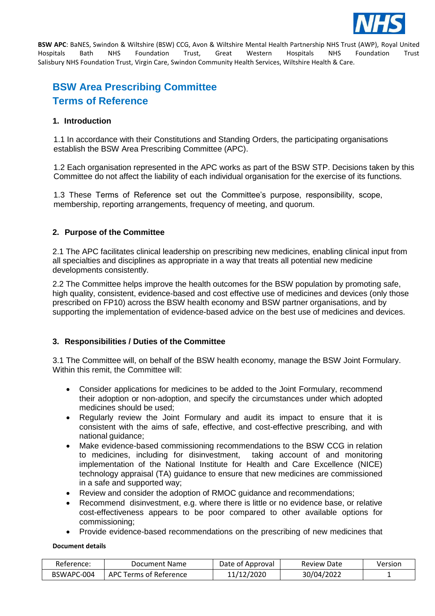

# **BSW Area Prescribing Committee Terms of Reference**

# **1. Introduction**

1.1 In accordance with their Constitutions and Standing Orders, the participating organisations establish the BSW Area Prescribing Committee (APC).

1.2 Each organisation represented in the APC works as part of the BSW STP. Decisions taken by this Committee do not affect the liability of each individual organisation for the exercise of its functions.

1.3 These Terms of Reference set out the Committee's purpose, responsibility, scope, membership, reporting arrangements, frequency of meeting, and quorum.

# **2. Purpose of the Committee**

2.1 The APC facilitates clinical leadership on prescribing new medicines, enabling clinical input from all specialties and disciplines as appropriate in a way that treats all potential new medicine developments consistently.

2.2 The Committee helps improve the health outcomes for the BSW population by promoting safe, high quality, consistent, evidence-based and cost effective use of medicines and devices (only those prescribed on FP10) across the BSW health economy and BSW partner organisations, and by supporting the implementation of evidence-based advice on the best use of medicines and devices.

# **3. Responsibilities / Duties of the Committee**

3.1 The Committee will, on behalf of the BSW health economy, manage the BSW Joint Formulary. Within this remit, the Committee will:

- Consider applications for medicines to be added to the Joint Formulary, recommend their adoption or non-adoption, and specify the circumstances under which adopted medicines should be used;
- Regularly review the Joint Formulary and audit its impact to ensure that it is consistent with the aims of safe, effective, and cost-effective prescribing, and with national guidance;
- Make evidence-based commissioning recommendations to the BSW CCG in relation to medicines, including for disinvestment, taking account of and monitoring implementation of the National Institute for Health and Care Excellence (NICE) technology appraisal (TA) guidance to ensure that new medicines are commissioned in a safe and supported way;
- Review and consider the adoption of RMOC guidance and recommendations;
- Recommend disinvestment, e.g. where there is little or no evidence base, or relative cost-effectiveness appears to be poor compared to other available options for commissioning;
- Provide evidence-based recommendations on the prescribing of new medicines that

| Reference: | Document Name          | Date of Approval | <b>Review Date</b> | Version |
|------------|------------------------|------------------|--------------------|---------|
| BSWAPC-004 | APC Terms of Reference | 11/12/2020       | 30/04/2022         |         |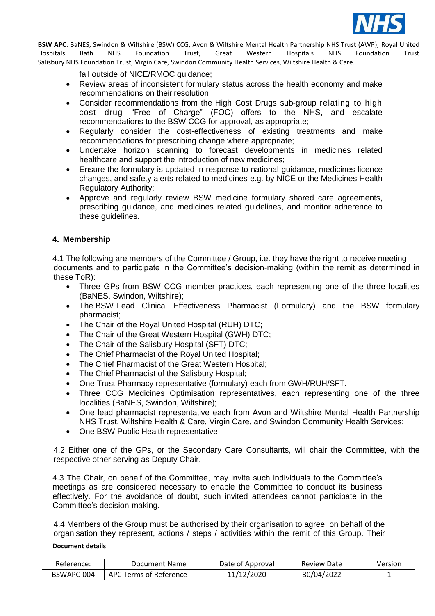

fall outside of NICE/RMOC guidance;

- Review areas of inconsistent formulary status across the health economy and make recommendations on their resolution.
- Consider recommendations from the High Cost Drugs sub-group relating to high cost drug "Free of Charge" (FOC) offers to the NHS, and escalate recommendations to the BSW CCG for approval, as appropriate;
- Regularly consider the cost-effectiveness of existing treatments and make recommendations for prescribing change where appropriate;
- Undertake horizon scanning to forecast developments in medicines related healthcare and support the introduction of new medicines;
- Ensure the formulary is updated in response to national guidance, medicines licence changes, and safety alerts related to medicines e.g. by NICE or the Medicines Health Regulatory Authority;
- Approve and regularly review BSW medicine formulary shared care agreements, prescribing guidance, and medicines related guidelines, and monitor adherence to these guidelines.

# **4. Membership**

4.1 The following are members of the Committee / Group, i.e. they have the right to receive meeting documents and to participate in the Committee's decision-making (within the remit as determined in these ToR):

- Three GPs from BSW CCG member practices, each representing one of the three localities (BaNES, Swindon, Wiltshire);
- The BSW Lead Clinical Effectiveness Pharmacist (Formulary) and the BSW formulary pharmacist;
- The Chair of the Royal United Hospital (RUH) DTC;
- The Chair of the Great Western Hospital (GWH) DTC;
- The Chair of the Salisbury Hospital (SFT) DTC;
- The Chief Pharmacist of the Royal United Hospital;
- The Chief Pharmacist of the Great Western Hospital;
- The Chief Pharmacist of the Salisbury Hospital;
- One Trust Pharmacy representative (formulary) each from GWH/RUH/SFT.
- Three CCG Medicines Optimisation representatives, each representing one of the three localities (BaNES, Swindon, Wiltshire);
- One lead pharmacist representative each from Avon and Wiltshire Mental Health Partnership NHS Trust, Wiltshire Health & Care, Virgin Care, and Swindon Community Health Services;
- One BSW Public Health representative

4.2 Either one of the GPs, or the Secondary Care Consultants, will chair the Committee, with the respective other serving as Deputy Chair.

4.3 The Chair, on behalf of the Committee, may invite such individuals to the Committee's meetings as are considered necessary to enable the Committee to conduct its business effectively. For the avoidance of doubt, such invited attendees cannot participate in the Committee's decision-making.

4.4 Members of the Group must be authorised by their organisation to agree, on behalf of the organisation they represent, actions / steps / activities within the remit of this Group. Their

| Reference: | Document Name          | Date of Approval | <b>Review Date</b> | Version |
|------------|------------------------|------------------|--------------------|---------|
| BSWAPC-004 | APC Terms of Reference | 11/12/2020       | 30/04/2022         |         |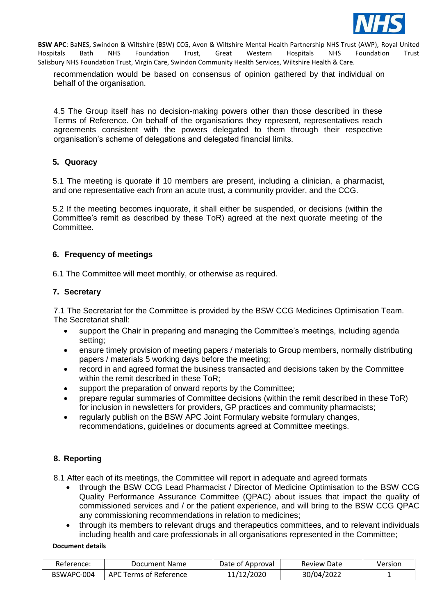

recommendation would be based on consensus of opinion gathered by that individual on behalf of the organisation.

4.5 The Group itself has no decision-making powers other than those described in these Terms of Reference. On behalf of the organisations they represent, representatives reach agreements consistent with the powers delegated to them through their respective organisation's scheme of delegations and delegated financial limits.

# **5. Quoracy**

5.1 The meeting is quorate if 10 members are present, including a clinician, a pharmacist, and one representative each from an acute trust, a community provider, and the CCG.

5.2 If the meeting becomes inquorate, it shall either be suspended, or decisions (within the Committee's remit as described by these ToR) agreed at the next quorate meeting of the Committee.

## **6. Frequency of meetings**

6.1 The Committee will meet monthly, or otherwise as required.

## **7. Secretary**

7.1 The Secretariat for the Committee is provided by the BSW CCG Medicines Optimisation Team. The Secretariat shall:

- support the Chair in preparing and managing the Committee's meetings, including agenda setting;
- ensure timely provision of meeting papers / materials to Group members, normally distributing papers / materials 5 working days before the meeting;
- record in and agreed format the business transacted and decisions taken by the Committee within the remit described in these ToR;
- support the preparation of onward reports by the Committee;
- prepare regular summaries of Committee decisions (within the remit described in these ToR) for inclusion in newsletters for providers, GP practices and community pharmacists;
- regularly publish on the BSW APC Joint Formulary website formulary changes, recommendations, guidelines or documents agreed at Committee meetings.

# **8. Reporting**

8.1 After each of its meetings, the Committee will report in adequate and agreed formats

- through the BSW CCG Lead Pharmacist / Director of Medicine Optimisation to the BSW CCG Quality Performance Assurance Committee (QPAC) about issues that impact the quality of commissioned services and / or the patient experience, and will bring to the BSW CCG QPAC any commissioning recommendations in relation to medicines;
- through its members to relevant drugs and therapeutics committees, and to relevant individuals including health and care professionals in all organisations represented in the Committee;

| Reference: | Document Name          | Date of Approval | <b>Review Date</b> | Version |
|------------|------------------------|------------------|--------------------|---------|
| BSWAPC-004 | APC Terms of Reference | 11/12/2020       | 30/04/2022         |         |